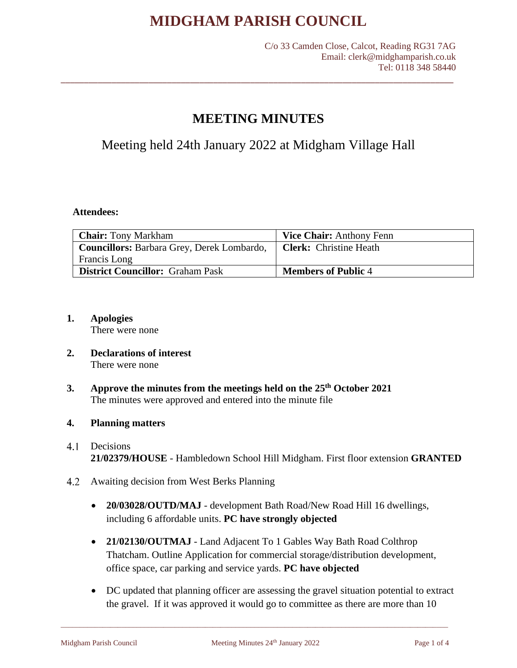# **MEETING MINUTES**

\_\_\_\_\_\_\_\_\_\_\_\_\_\_\_\_\_\_\_\_\_\_\_\_\_\_\_\_\_\_\_\_\_\_\_\_\_\_\_\_\_\_\_\_\_\_\_\_\_\_\_\_\_\_\_\_\_\_\_\_\_\_\_\_\_\_\_\_\_\_\_\_\_\_\_\_\_\_\_\_\_\_\_\_\_

Meeting held 24th January 2022 at Midgham Village Hall

# **Attendees:**

| <b>Chair:</b> Tony Markham                 | <b>Vice Chair:</b> Anthony Fenn |
|--------------------------------------------|---------------------------------|
| Councillors: Barbara Grey, Derek Lombardo, | <b>Clerk:</b> Christine Heath   |
| <b>Francis</b> Long                        |                                 |
| <b>District Councillor:</b> Graham Pask    | <b>Members of Public 4</b>      |

**1. Apologies**

There were none

- **2. Declarations of interest** There were none
- **3. Approve the minutes from the meetings held on the 25th October 2021** The minutes were approved and entered into the minute file

# **4. Planning matters**

- $4.1$ Decisions **21/02379/HOUSE** - Hambledown School Hill Midgham. First floor extension **GRANTED**
- 4.2 Awaiting decision from West Berks Planning
	- **20/03028/OUTD/MAJ** development Bath Road/New Road Hill 16 dwellings, including 6 affordable units. **PC have strongly objected**
	- **21/02130/OUTMAJ** Land Adjacent To 1 Gables Way Bath Road Colthrop Thatcham. Outline Application for commercial storage/distribution development, office space, car parking and service yards. **PC have objected**
	- DC updated that planning officer are assessing the gravel situation potential to extract the gravel. If it was approved it would go to committee as there are more than 10

\_\_\_\_\_\_\_\_\_\_\_\_\_\_\_\_\_\_\_\_\_\_\_\_\_\_\_\_\_\_\_\_\_\_\_\_\_\_\_\_\_\_\_\_\_\_\_\_\_\_\_\_\_\_\_\_\_\_\_\_\_\_\_\_\_\_\_\_\_\_\_\_\_\_\_\_\_\_\_\_\_\_\_\_\_\_\_\_\_\_\_\_\_\_\_\_\_\_\_\_\_\_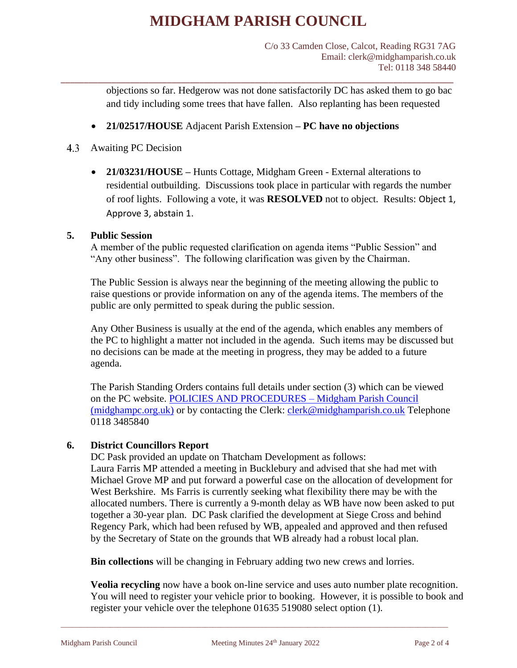\_\_\_\_\_\_\_\_\_\_\_\_\_\_\_\_\_\_\_\_\_\_\_\_\_\_\_\_\_\_\_\_\_\_\_\_\_\_\_\_\_\_\_\_\_\_\_\_\_\_\_\_\_\_\_\_\_\_\_\_\_\_\_\_\_\_\_\_\_\_\_\_\_\_\_\_\_\_\_\_\_\_\_\_\_

objections so far. Hedgerow was not done satisfactorily DC has asked them to go bac and tidy including some trees that have fallen. Also replanting has been requested

- **21/02517/HOUSE** Adjacent Parish Extension **– PC have no objections**
- 4.3 Awaiting PC Decision
	- **21/03231/HOUSE –** Hunts Cottage, Midgham Green External alterations to residential outbuilding. Discussions took place in particular with regards the number of roof lights. Following a vote, it was **RESOLVED** not to object. Results: Object 1, Approve 3, abstain 1.

# **5. Public Session**

A member of the public requested clarification on agenda items "Public Session" and "Any other business". The following clarification was given by the Chairman.

The Public Session is always near the beginning of the meeting allowing the public to raise questions or provide information on any of the agenda items. The members of the public are only permitted to speak during the public session.

Any Other Business is usually at the end of the agenda, which enables any members of the PC to highlight a matter not included in the agenda. Such items may be discussed but no decisions can be made at the meeting in progress, they may be added to a future agenda.

The Parish Standing Orders contains full details under section (3) which can be viewed on the PC website. [POLICIES AND PROCEDURES –](https://midghampc.org.uk/policies-procedures/) Midgham Parish Council [\(midghampc.org.uk\)](https://midghampc.org.uk/policies-procedures/) or by contacting the Clerk: [clerk@midghamparish.co.uk](mailto:clerk@midghamparish.co.uk) Telephone 0118 3485840

# **6. District Councillors Report**

DC Pask provided an update on Thatcham Development as follows: Laura Farris MP attended a meeting in Bucklebury and advised that she had met with Michael Grove MP and put forward a powerful case on the allocation of development for West Berkshire. Ms Farris is currently seeking what flexibility there may be with the allocated numbers. There is currently a 9-month delay as WB have now been asked to put together a 30-year plan. DC Pask clarified the development at Siege Cross and behind Regency Park, which had been refused by WB, appealed and approved and then refused by the Secretary of State on the grounds that WB already had a robust local plan.

**Bin collections** will be changing in February adding two new crews and lorries.

\_\_\_\_\_\_\_\_\_\_\_\_\_\_\_\_\_\_\_\_\_\_\_\_\_\_\_\_\_\_\_\_\_\_\_\_\_\_\_\_\_\_\_\_\_\_\_\_\_\_\_\_\_\_\_\_\_\_\_\_\_\_\_\_\_\_\_\_\_\_\_\_\_\_\_\_\_\_\_\_\_\_\_\_\_\_\_\_\_\_\_\_\_\_\_\_\_\_\_\_\_\_

**Veolia recycling** now have a book on-line service and uses auto number plate recognition. You will need to register your vehicle prior to booking. However, it is possible to book and register your vehicle over the telephone 01635 519080 select option (1).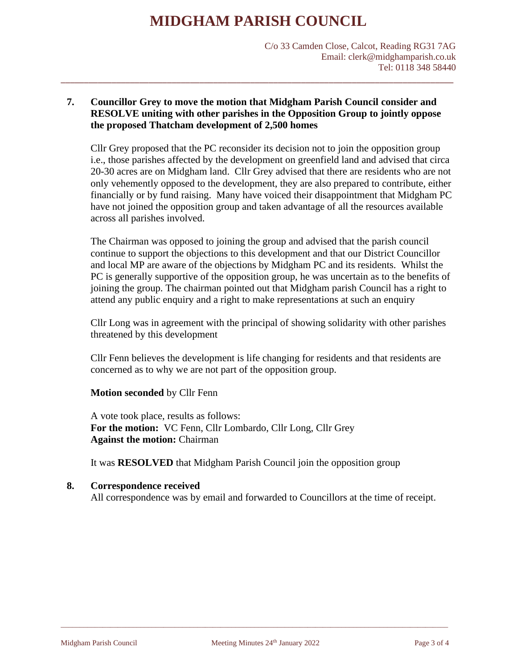C/o 33 Camden Close, Calcot, Reading RG31 7AG Email: clerk@midghamparish.co.uk Tel: 0118 348 58440

# **7. Councillor Grey to move the motion that Midgham Parish Council consider and RESOLVE uniting with other parishes in the Opposition Group to jointly oppose the proposed Thatcham development of 2,500 homes**

\_\_\_\_\_\_\_\_\_\_\_\_\_\_\_\_\_\_\_\_\_\_\_\_\_\_\_\_\_\_\_\_\_\_\_\_\_\_\_\_\_\_\_\_\_\_\_\_\_\_\_\_\_\_\_\_\_\_\_\_\_\_\_\_\_\_\_\_\_\_\_\_\_\_\_\_\_\_\_\_\_\_\_\_\_

Cllr Grey proposed that the PC reconsider its decision not to join the opposition group i.e., those parishes affected by the development on greenfield land and advised that circa 20-30 acres are on Midgham land. Cllr Grey advised that there are residents who are not only vehemently opposed to the development, they are also prepared to contribute, either financially or by fund raising. Many have voiced their disappointment that Midgham PC have not joined the opposition group and taken advantage of all the resources available across all parishes involved.

The Chairman was opposed to joining the group and advised that the parish council continue to support the objections to this development and that our District Councillor and local MP are aware of the objections by Midgham PC and its residents. Whilst the PC is generally supportive of the opposition group, he was uncertain as to the benefits of joining the group. The chairman pointed out that Midgham parish Council has a right to attend any public enquiry and a right to make representations at such an enquiry

Cllr Long was in agreement with the principal of showing solidarity with other parishes threatened by this development

Cllr Fenn believes the development is life changing for residents and that residents are concerned as to why we are not part of the opposition group.

# **Motion seconded** by Cllr Fenn

A vote took place, results as follows: **For the motion:** VC Fenn, Cllr Lombardo, Cllr Long, Cllr Grey **Against the motion:** Chairman

It was **RESOLVED** that Midgham Parish Council join the opposition group

# **8. Correspondence received**

All correspondence was by email and forwarded to Councillors at the time of receipt.

\_\_\_\_\_\_\_\_\_\_\_\_\_\_\_\_\_\_\_\_\_\_\_\_\_\_\_\_\_\_\_\_\_\_\_\_\_\_\_\_\_\_\_\_\_\_\_\_\_\_\_\_\_\_\_\_\_\_\_\_\_\_\_\_\_\_\_\_\_\_\_\_\_\_\_\_\_\_\_\_\_\_\_\_\_\_\_\_\_\_\_\_\_\_\_\_\_\_\_\_\_\_